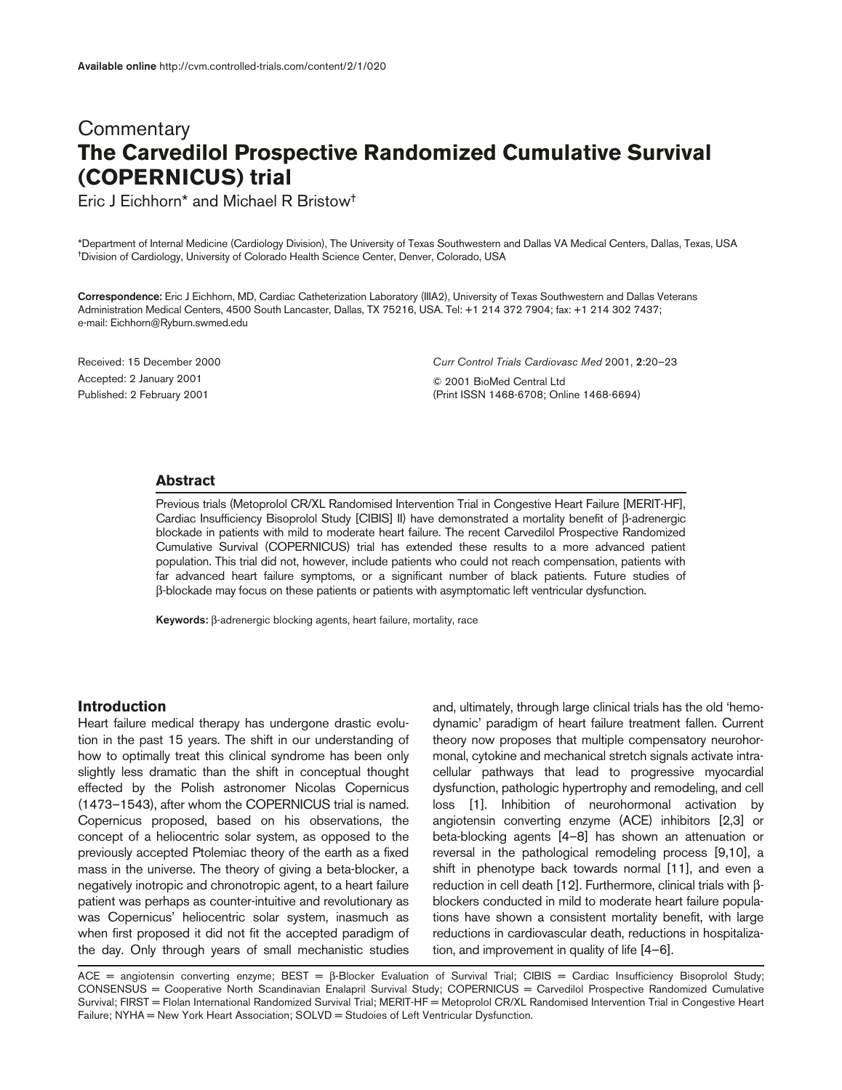# **Commentary The Carvedilol Prospective Randomized Cumulative Survival (COPERNICUS) trial**

Eric J Eichhorn\* and Michael R Bristow†

\*Department of Internal Medicine (Cardiology Division), The University of Texas Southwestern and Dallas VA Medical Centers, Dallas, Texas, USA †Division of Cardiology, University of Colorado Health Science Center, Denver, Colorado, USA

**Correspondence:** Eric J Eichhorn, MD, Cardiac Catheterization Laboratory (IIIA2), University of Texas Southwestern and Dallas Veterans Administration Medical Centers, 4500 South Lancaster, Dallas, TX 75216, USA. Tel: +1 214 372 7904; fax: +1 214 302 7437; e-mail: Eichhorn@Ryburn.swmed.edu

Received: 15 December 2000 Accepted: 2 January 2001 Published: 2 February 2001

*Curr Control Trials Cardiovasc Med* 2001, **2**:20–23

© 2001 BioMed Central Ltd (Print ISSN 1468-6708; Online 1468-6694)

#### **Abstract**

Previous trials (Metoprolol CR/XL Randomised Intervention Trial in Congestive Heart Failure [MERIT-HF], Cardiac Insufficiency Bisoprolol Study [CIBIS] II) have demonstrated a mortality benefit of β-adrenergic blockade in patients with mild to moderate heart failure. The recent Carvedilol Prospective Randomized Cumulative Survival (COPERNICUS) trial has extended these results to a more advanced patient population. This trial did not, however, include patients who could not reach compensation, patients with far advanced heart failure symptoms, or a significant number of black patients. Future studies of β-blockade may focus on these patients or patients with asymptomatic left ventricular dysfunction.

**Keywords:** β-adrenergic blocking agents, heart failure, mortality, race

## **Introduction**

Heart failure medical therapy has undergone drastic evolution in the past 15 years. The shift in our understanding of how to optimally treat this clinical syndrome has been only slightly less dramatic than the shift in conceptual thought effected by the Polish astronomer Nicolas Copernicus (1473–1543), after whom the COPERNICUS trial is named. Copernicus proposed, based on his observations, the concept of a heliocentric solar system, as opposed to the previously accepted Ptolemiac theory of the earth as a fixed mass in the universe. The theory of giving a beta-blocker, a negatively inotropic and chronotropic agent, to a heart failure patient was perhaps as counter-intuitive and revolutionary as was Copernicus' heliocentric solar system, inasmuch as when first proposed it did not fit the accepted paradigm of the day. Only through years of small mechanistic studies and, ultimately, through large clinical trials has the old 'hemodynamic' paradigm of heart failure treatment fallen. Current theory now proposes that multiple compensatory neurohormonal, cytokine and mechanical stretch signals activate intracellular pathways that lead to progressive myocardial dysfunction, pathologic hypertrophy and remodeling, and cell loss [1]. Inhibition of neurohormonal activation by angiotensin converting enzyme (ACE) inhibitors [2,3] or beta-blocking agents [4–8] has shown an attenuation or reversal in the pathological remodeling process [9,10], a shift in phenotype back towards normal [11], and even a reduction in cell death [12]. Furthermore, clinical trials with βblockers conducted in mild to moderate heart failure populations have shown a consistent mortality benefit, with large reductions in cardiovascular death, reductions in hospitalization, and improvement in quality of life [4–6].

ACE = angiotensin converting enzyme; BEST =  $\beta$ -Blocker Evaluation of Survival Trial; CIBIS = Cardiac Insufficiency Bisoprolol Study; CONSENSUS = Cooperative North Scandinavian Enalapril Survival Study; COPERNICUS = Carvedilol Prospective Randomized Cumulative Survival; FIRST = Flolan International Randomized Survival Trial; MERIT-HF = Metoprolol CR/XL Randomised Intervention Trial in Congestive Heart Failure; NYHA = New York Heart Association; SOLVD = Studoies of Left Ventricular Dysfunction.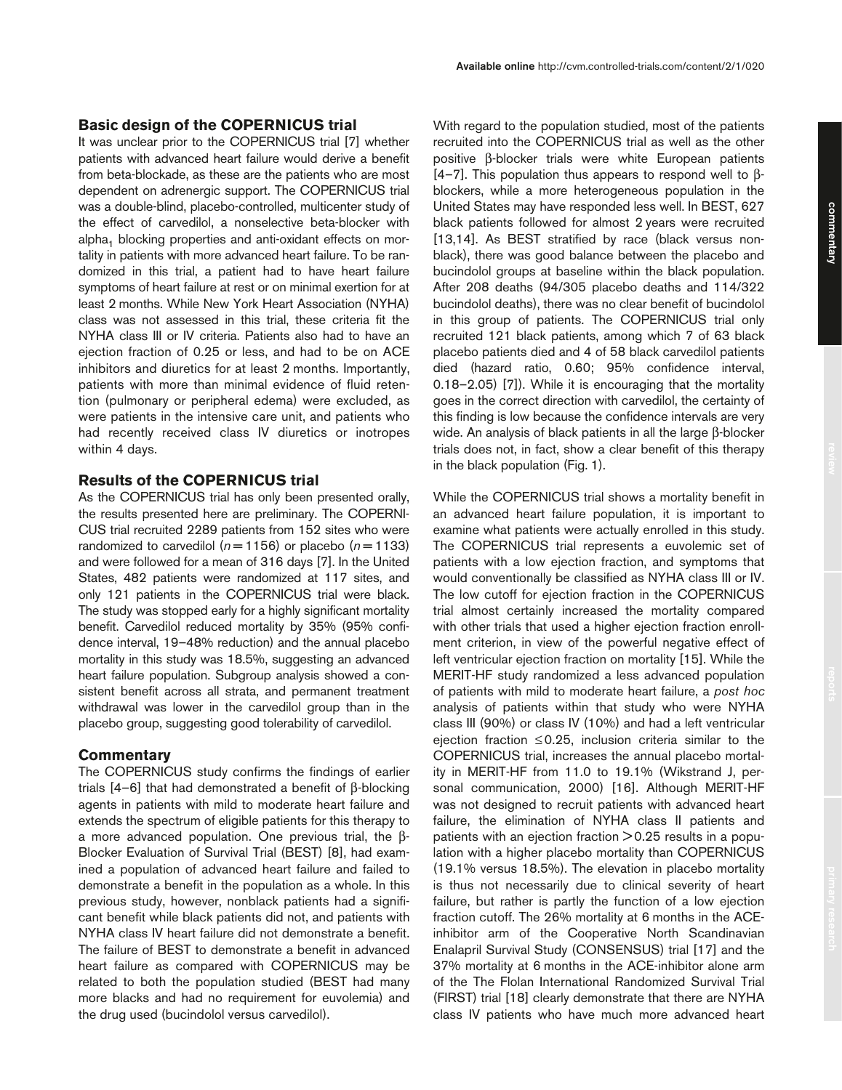## **Basic design of the COPERNICUS trial**

It was unclear prior to the COPERNICUS trial [7] whether patients with advanced heart failure would derive a benefit from beta-blockade, as these are the patients who are most dependent on adrenergic support. The COPERNICUS trial was a double-blind, placebo-controlled, multicenter study of the effect of carvedilol, a nonselective beta-blocker with alpha<sub>1</sub> blocking properties and anti-oxidant effects on mortality in patients with more advanced heart failure. To be randomized in this trial, a patient had to have heart failure symptoms of heart failure at rest or on minimal exertion for at least 2 months. While New York Heart Association (NYHA) class was not assessed in this trial, these criteria fit the NYHA class III or IV criteria. Patients also had to have an ejection fraction of 0.25 or less, and had to be on ACE inhibitors and diuretics for at least 2 months. Importantly, patients with more than minimal evidence of fluid retention (pulmonary or peripheral edema) were excluded, as were patients in the intensive care unit, and patients who had recently received class IV diuretics or inotropes within 4 days.

## **Results of the COPERNICUS trial**

As the COPERNICUS trial has only been presented orally, the results presented here are preliminary. The COPERNI-CUS trial recruited 2289 patients from 152 sites who were randomized to carvedilol ( $n = 1156$ ) or placebo ( $n = 1133$ ) and were followed for a mean of 316 days [7]. In the United States, 482 patients were randomized at 117 sites, and only 121 patients in the COPERNICUS trial were black. The study was stopped early for a highly significant mortality benefit. Carvedilol reduced mortality by 35% (95% confidence interval, 19–48% reduction) and the annual placebo mortality in this study was 18.5%, suggesting an advanced heart failure population. Subgroup analysis showed a consistent benefit across all strata, and permanent treatment withdrawal was lower in the carvedilol group than in the placebo group, suggesting good tolerability of carvedilol.

## **Commentary**

The COPERNICUS study confirms the findings of earlier trials [4–6] that had demonstrated a benefit of β-blocking agents in patients with mild to moderate heart failure and extends the spectrum of eligible patients for this therapy to a more advanced population. One previous trial, the β-Blocker Evaluation of Survival Trial (BEST) [8], had examined a population of advanced heart failure and failed to demonstrate a benefit in the population as a whole. In this previous study, however, nonblack patients had a significant benefit while black patients did not, and patients with NYHA class IV heart failure did not demonstrate a benefit. The failure of BEST to demonstrate a benefit in advanced heart failure as compared with COPERNICUS may be related to both the population studied (BEST had many more blacks and had no requirement for euvolemia) and the drug used (bucindolol versus carvedilol).

With regard to the population studied, most of the patients recruited into the COPERNICUS trial as well as the other positive β-blocker trials were white European patients [4–7]. This population thus appears to respond well to βblockers, while a more heterogeneous population in the United States may have responded less well. In BEST, 627 black patients followed for almost 2 years were recruited [13,14]. As BEST stratified by race (black versus nonblack), there was good balance between the placebo and bucindolol groups at baseline within the black population. After 208 deaths (94/305 placebo deaths and 114/322 bucindolol deaths), there was no clear benefit of bucindolol in this group of patients. The COPERNICUS trial only recruited 121 black patients, among which 7 of 63 black placebo patients died and 4 of 58 black carvedilol patients died (hazard ratio, 0.60; 95% confidence interval, 0.18–2.05) [7]). While it is encouraging that the mortality goes in the correct direction with carvedilol, the certainty of this finding is low because the confidence intervals are very wide. An analysis of black patients in all the large β-blocker trials does not, in fact, show a clear benefit of this therapy in the black population (Fig. 1).

**Available online** http://cvm.controlled-trials.com/content/2/1/020

While the COPERNICUS trial shows a mortality benefit in an advanced heart failure population, it is important to examine what patients were actually enrolled in this study. The COPERNICUS trial represents a euvolemic set of patients with a low ejection fraction, and symptoms that would conventionally be classified as NYHA class III or IV. The low cutoff for ejection fraction in the COPERNICUS trial almost certainly increased the mortality compared with other trials that used a higher ejection fraction enrollment criterion, in view of the powerful negative effect of left ventricular ejection fraction on mortality [15]. While the MERIT-HF study randomized a less advanced population of patients with mild to moderate heart failure, a *post hoc* analysis of patients within that study who were NYHA class III (90%) or class IV (10%) and had a left ventricular ejection fraction ≤0.25, inclusion criteria similar to the COPERNICUS trial, increases the annual placebo mortality in MERIT-HF from 11.0 to 19.1% (Wikstrand J, personal communication, 2000) [16]. Although MERIT-HF was not designed to recruit patients with advanced heart failure, the elimination of NYHA class II patients and patients with an ejection fraction > 0.25 results in a population with a higher placebo mortality than COPERNICUS (19.1% versus 18.5%). The elevation in placebo mortality is thus not necessarily due to clinical severity of heart failure, but rather is partly the function of a low ejection fraction cutoff. The 26% mortality at 6 months in the ACEinhibitor arm of the Cooperative North Scandinavian Enalapril Survival Study (CONSENSUS) trial [17] and the 37% mortality at 6 months in the ACE-inhibitor alone arm of the The Flolan International Randomized Survival Trial (FIRST) trial [18] clearly demonstrate that there are NYHA class IV patients who have much more advanced heart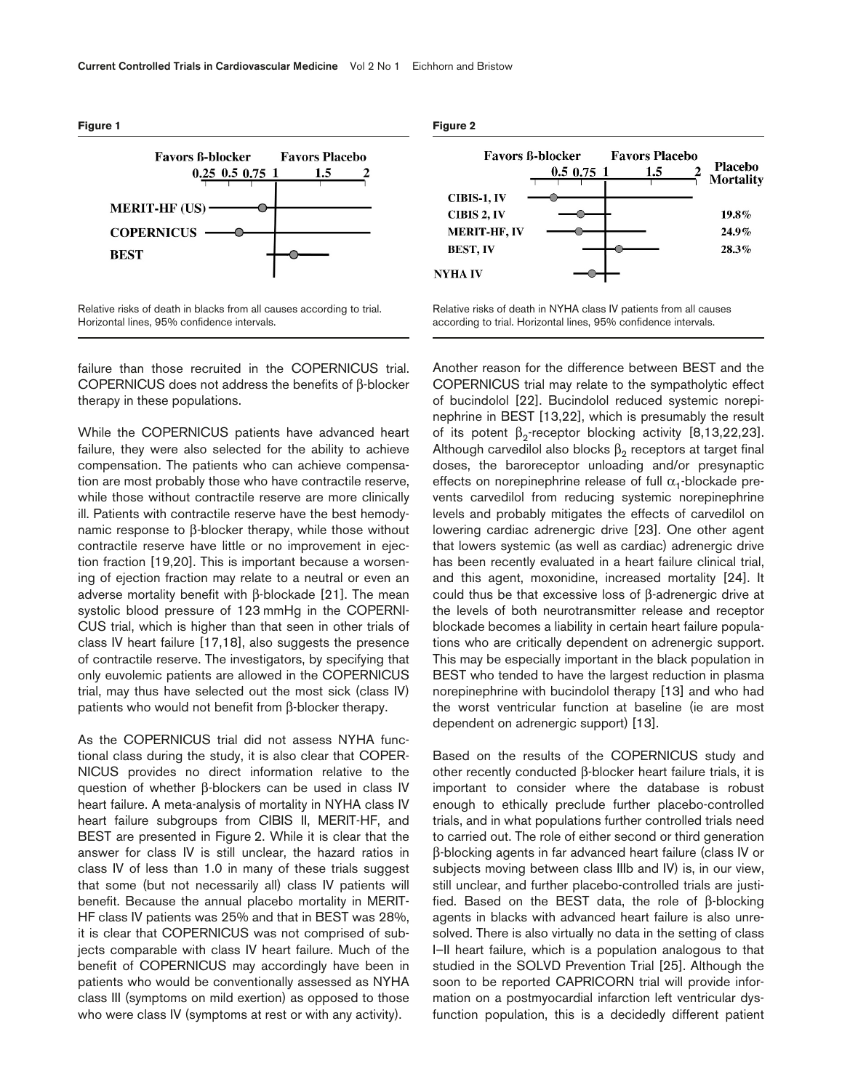

Relative risks of death in blacks from all causes according to trial. Horizontal lines, 95% confidence intervals.

failure than those recruited in the COPERNICUS trial. COPERNICUS does not address the benefits of β-blocker therapy in these populations.

While the COPERNICUS patients have advanced heart failure, they were also selected for the ability to achieve compensation. The patients who can achieve compensation are most probably those who have contractile reserve, while those without contractile reserve are more clinically ill. Patients with contractile reserve have the best hemodynamic response to β-blocker therapy, while those without contractile reserve have little or no improvement in ejection fraction [19,20]. This is important because a worsening of ejection fraction may relate to a neutral or even an adverse mortality benefit with β-blockade [21]. The mean systolic blood pressure of 123 mmHg in the COPERNI-CUS trial, which is higher than that seen in other trials of class IV heart failure [17,18], also suggests the presence of contractile reserve. The investigators, by specifying that only euvolemic patients are allowed in the COPERNICUS trial, may thus have selected out the most sick (class IV) patients who would not benefit from β-blocker therapy.

As the COPERNICUS trial did not assess NYHA functional class during the study, it is also clear that COPER-NICUS provides no direct information relative to the question of whether β-blockers can be used in class IV heart failure. A meta-analysis of mortality in NYHA class IV heart failure subgroups from CIBIS II, MERIT-HF, and BEST are presented in Figure 2. While it is clear that the answer for class IV is still unclear, the hazard ratios in class IV of less than 1.0 in many of these trials suggest that some (but not necessarily all) class IV patients will benefit. Because the annual placebo mortality in MERIT-HF class IV patients was 25% and that in BEST was 28%, it is clear that COPERNICUS was not comprised of subjects comparable with class IV heart failure. Much of the benefit of COPERNICUS may accordingly have been in patients who would be conventionally assessed as NYHA class III (symptoms on mild exertion) as opposed to those who were class IV (symptoms at rest or with any activity).





Relative risks of death in NYHA class IV patients from all causes according to trial. Horizontal lines, 95% confidence intervals.

Another reason for the difference between BEST and the COPERNICUS trial may relate to the sympatholytic effect of bucindolol [22]. Bucindolol reduced systemic norepinephrine in BEST [13,22], which is presumably the result of its potent  $β_2$ -receptor blocking activity [8,13,22,23]. Although carvedilol also blocks  $\beta_2$  receptors at target final doses, the baroreceptor unloading and/or presynaptic effects on norepinephrine release of full  $\alpha_1$ -blockade prevents carvedilol from reducing systemic norepinephrine levels and probably mitigates the effects of carvedilol on lowering cardiac adrenergic drive [23]. One other agent that lowers systemic (as well as cardiac) adrenergic drive has been recently evaluated in a heart failure clinical trial, and this agent, moxonidine, increased mortality [24]. It could thus be that excessive loss of β-adrenergic drive at the levels of both neurotransmitter release and receptor blockade becomes a liability in certain heart failure populations who are critically dependent on adrenergic support. This may be especially important in the black population in BEST who tended to have the largest reduction in plasma norepinephrine with bucindolol therapy [13] and who had the worst ventricular function at baseline (ie are most dependent on adrenergic support) [13].

Based on the results of the COPERNICUS study and other recently conducted β-blocker heart failure trials, it is important to consider where the database is robust enough to ethically preclude further placebo-controlled trials, and in what populations further controlled trials need to carried out. The role of either second or third generation β-blocking agents in far advanced heart failure (class IV or subjects moving between class IIIb and IV) is, in our view, still unclear, and further placebo-controlled trials are justified. Based on the BEST data, the role of β-blocking agents in blacks with advanced heart failure is also unresolved. There is also virtually no data in the setting of class I–II heart failure, which is a population analogous to that studied in the SOLVD Prevention Trial [25]. Although the soon to be reported CAPRICORN trial will provide information on a postmyocardial infarction left ventricular dysfunction population, this is a decidedly different patient